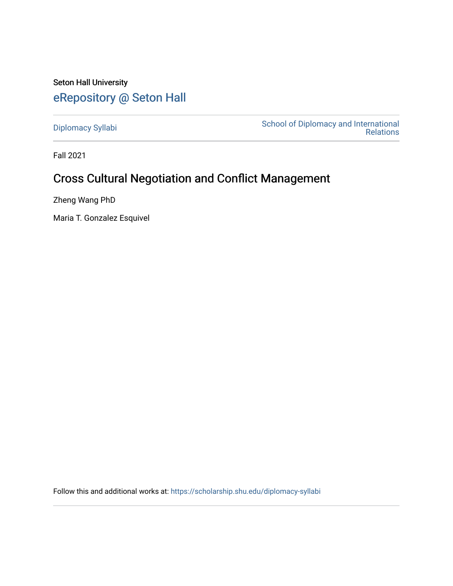## Seton Hall University [eRepository @ Seton Hall](https://scholarship.shu.edu/)

[Diplomacy Syllabi](https://scholarship.shu.edu/diplomacy-syllabi) [School of Diplomacy and International](https://scholarship.shu.edu/diplomacy)  [Relations](https://scholarship.shu.edu/diplomacy) 

Fall 2021

# Cross Cultural Negotiation and Conflict Management

Zheng Wang PhD

Maria T. Gonzalez Esquivel

Follow this and additional works at: [https://scholarship.shu.edu/diplomacy-syllabi](https://scholarship.shu.edu/diplomacy-syllabi?utm_source=scholarship.shu.edu%2Fdiplomacy-syllabi%2F616&utm_medium=PDF&utm_campaign=PDFCoverPages)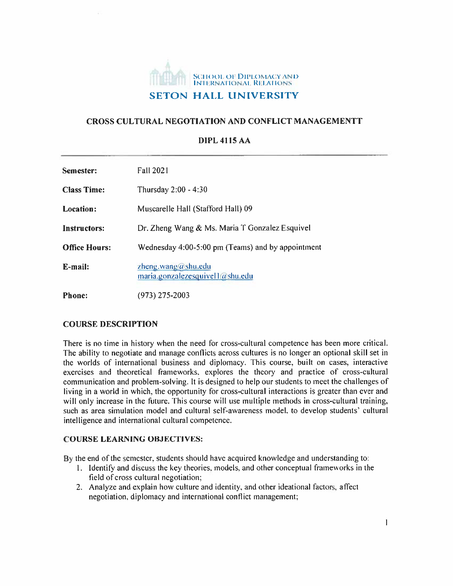

## **CROSS CULTURAL NEGOTIATION AND CONFLICT MANAGEMENTT**

#### **DIPL 4115 AA**

| Semester:            | <b>Fall 2021</b>                                         |
|----------------------|----------------------------------------------------------|
| <b>Class Time:</b>   | Thursday 2:00 - 4:30                                     |
| <b>Location:</b>     | Muscarelle Hall (Stafford Hall) 09                       |
| Instructors:         | Dr. Zheng Wang & Ms. Maria T Gonzalez Esquivel           |
| <b>Office Hours:</b> | Wednesday 4:00-5:00 pm (Teams) and by appointment        |
| E-mail:              | zheng.wang@shu.edu<br>maria.gonzalezesquivel 1 a shu.edu |
| <b>Phone:</b>        | (973) 275-2003                                           |

## **COURSE DESCRIPTION**

There is no time in history when the need for cross-cultural competence has been more critical. The ability to negotiate and manage conflicts across cultures is no longer an optional skill set in the worlds of international business and diplomacy. This course, built on cases, interactive exercises and theoretical frameworks, explores the theory and practice of cross-cultural communication and problem-solving. It is designed to help our students to meet the challenges of living in <sup>a</sup> world in which, the opportunity for cross-cultural interactions is greater than ever and will only increase in the future. This course will use multiple methods in cross-cultural training, such as area simulation model and cultural self-awareness model, to develop students' cultural intelligence and international cultural competence.

## **COURSE LEARNING OBJECTIVES:**

By the end of the semester, students should have acquired knowledge and understanding to:

- 1. Identify and discuss the key theories, models, and other conceptual frameworks in the field of cross cultural negotiation;
- 2. Analyze and explain how culture and identity, and other ideational factors, affect negotiation, diplomacy and international conflict management;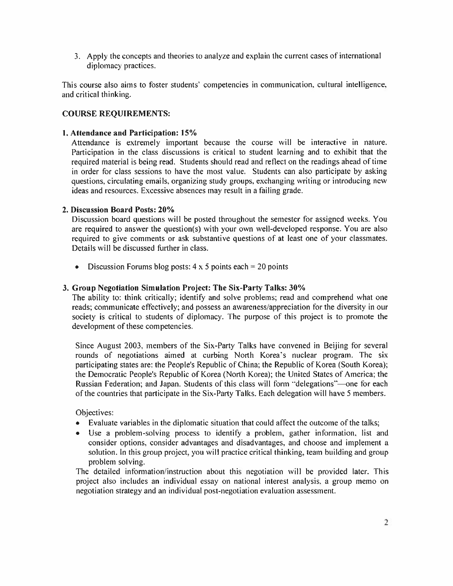3. Apply the concepts and theories to analyze and explain the current cases of international diplomacy practices.

This course also aims to foster students' competencies in communication, cultural intelligence, and critical thinking.

## **COURSE REQUIREMENTS:**

## **[. Attendance and Participation: 15%**

Attendance is extremely important because the course will be interactive in nature. Participation in the class discussions is critical to student learning and to exhibit that the required material is being read. Students should read and reflect on the readings ahead of time in order for class sessions to have the most value. Students can also participate by asking questions, circulating emails, organizing study groups, exchanging writing or introducing new ideas and resources. Excessive absences may result in <sup>a</sup> failing grade.

## **2. Discussion Board Posts: 20%**

Discussion board questions will be posted throughout the semester for assigned weeks. You are required to answer the question(s) with your own well-developed response. You are also required to give comments or ask substantive questions of at least one of your classmates. Details will be discussed further in class.

• Discussion Forums blog posts:  $4 \times 5$  points each = 20 points

## **3. Group Negotiation Simulation Project: The Six-Party Talks: 30%**

The ability to: think critically; identify and solve problems; read and comprehend what one reads; communicate effectively; and possess an awareness/appreciation for the diversity in our society is critical to students of diplomacy. The purpose of this project is to promote the development of these competencies.

Since August 2003, members of the Six-Party Talks have convened in Beijing for several rounds of negotiations aimed at curbing North Korea's nuclear program. The six participating states are: the People's Republic of China; the Republic of Korea (South Korea); the Democratic People's Republic of Korea (North Korea); the United States of America; the Russian Federation; and Japan. Students of this class will form "delegations"—one for each of the countries that participate in the Six-Party Talks. Each delegation will have 5 members.

Objectives:

- Evaluate variables in the diplomatic situation that could affect the outcome of the talks;
- Use <sup>a</sup> problem-solving process to identify <sup>a</sup> problem, gather information, list and consider options, consider advantages and disadvantages, and choose and implement <sup>a</sup> solution. In this group project, you will practice critical thinking, team building and group problem solving.

The detailed information/instruction about this negotiation will be provided later. This project also includes an individual essay on national interest analysis, <sup>a</sup> group memo on negotiation strategy and an individual post-negotiation evaluation assessment.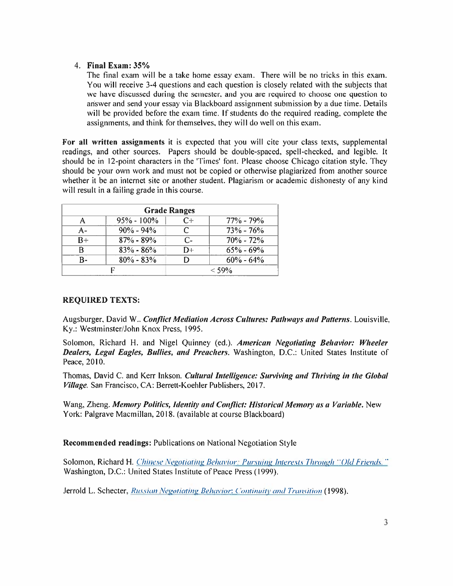## **4. Final Exam: 35%**

The final exam will be <sup>a</sup> take home essay exam. There will be no tricks in this exam. You will receive 3-4 questions and each question is closely related with the subjects that we have discussed during the semester, and you are required to choose one question to answer and send your essay via Blackboard assignment submission by <sup>a</sup> due time. Details will be provided before the exam time. If students do the required reading, complete the assignments, and think for themselves, they will do well on this exam.

**For all written assignments** it is expected that you will cite your class texts, supplemental readings, and other sources. Papers should be double-spaced, spell-checked, and legible. It should be in 12-point characters in the 'Times' font. Please choose Chicago citation style. They should be your own work and must not be copied or otherwise plagiarized from another source whether it be an internet site or another student. Plagiarism or academic dishonesty of any kind will result in <sup>a</sup> failing grade in this course.

|      |                | <b>Grade Ranges</b> |               |
|------|----------------|---------------------|---------------|
|      | $95\% - 100\%$ | C+                  | $77\% - 79\%$ |
| А-   | $90\% - 94\%$  |                     | $73% - 76%$   |
| $B+$ | $87\% - 89\%$  | $C-$                | $70\% - 72\%$ |
| R    | $83\% - 86\%$  | D+                  | $65\% - 69\%$ |
| R-   | $80\% - 83\%$  |                     | $60\% - 64\%$ |
|      |                |                     | $<$ 59%       |

## **REQUIRED TEXTS:**

Augsburger. David W.. *Conflict Mediation Across Cultures: Pathways and Patterns.* Louisville, Ky.: Westminster'John Knox Press, 1995.

Solomon, Richard H. and Nigel Quinney (ed.). *American Negotiating Behavior: Wheeler Dealers, Legal Eagles, Bullies, and Preachers.* Washington, D.C.: United States Institute of Peace, 2010.

Thomas, David C. and Kerr lnkson. *Cultural Intelligence: Surviving and Thriving in the Global Village.* San Francisco, CA: Berrett-Koehler Publishers, 2017.

Wang, Zheng. *Memory Politics, Identity and Conflict: Historical Memory> as <sup>a</sup> Variable.* New York: Palgrave Macmillan, 2018. (available at course Blackboard)

## **Recommended readings:** Publications on National Negotiation Style

Solomon, Richard H. *Chinese Nevotialiny Behavior: Pursuing Interests Through* "*Old <sup>h</sup> fiends.* **"** Washington, D.C.: United States Institute of Peace Press (1999).

Jerrold L. Schecter, *Russian Nevotiatiny Behavior. ( 'ontinuity and Transition* (1998).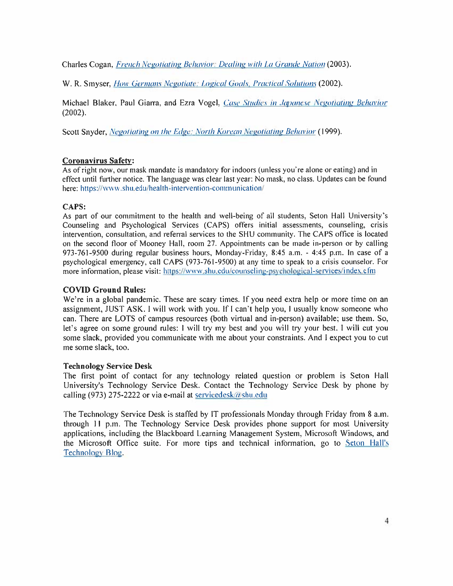Charles Cogan, *French Negotiating Behavior: Dealing with La Grande Nation* (2003).

W. R. Smyser,*How Germans Negotiate: Logical Goals*. *Practical Solutions* (2002).

Michael Blaker, Paul Giarra, and Ezra Vogel. *Case Studies in Japanese Negotiating Behavior* **(2002).**

Scott Snyder, *Negotiating on the Edge: North Korean Negotiating Behavior* (1999).

## **Coronavirus Safety:**

As of right now,our mask mandate is mandatory for indoors (unless you're alone or eating) and in effect until further notice. The language was clear last year: No mask, no class. Updates can be found here: https://www.shu.edu/health-intervention-communication/

## **CAPS:**

As part of our commitment to the health and well-being of all students, Seton Hall University's Counseling and Psychological Services (CAPS) offers initial assessments, counseling, crisis intervention, consultation, and referral services to the SHU community. The CAPS office is located on the second floor of Mooney Hall, room 27. Appointments can be made in-person or by calling 973-761-9500 during regular business hours, Monday-Friday, 8:45 a.m. - 4:45 p.m. In case of <sup>a</sup> psychological emergency, call CAPS (973-761-9500) at any time to speak to <sup>a</sup> crisis counselor. For more information, please visit: https://www.shu.edu/counseling-psychological-services/index.cfm

## **COVID Ground Rules:**

We're in a global pandemic. These are scary times. If you need extra help or more time on an assignment, JUST ASK. I will work with you. If I can't help you, I usually know someone who can. There are LOTS of campus resources (both virtual and in-person) available; use them. So, let's agree on some ground rules: I will try my best and you will try your best. I will cut you some slack, provided you communicate with me about your constraints. And I expect you to cut me some slack, too.

## **Technology Service Desk**

The first point of contact for any technology related question or problem is Seton Hall University's Technology Service Desk. Contact the Technology Service Desk by phone by calling (973) 275-2222 or via e-mail at servicedesk $\omega$  shu.edu

The Technology Service Desk is staffed by IT professionals Monday through Friday from 8 a.m. through <sup>11</sup> p.m. The Technology Service Desk provides phone support for most University applications, including the Blackboard Learning Management System, Microsoft Windows, and the Microsoft Office suite. For more tips and technical information, go to Seton Hall's Technology Blog.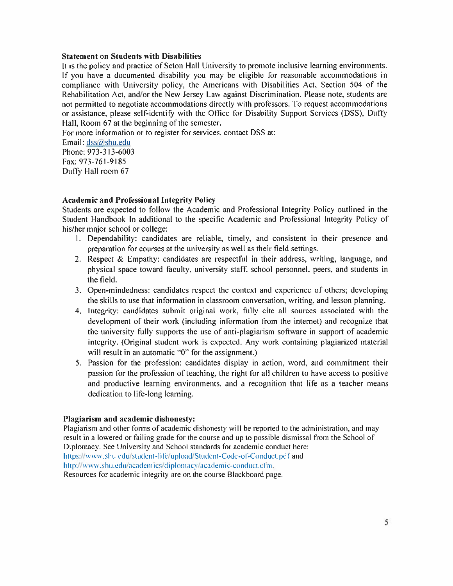#### **Statement on Students with Disabilities**

It is the policy and practice of Seton Hall University to promote inclusive learning environments. If you have <sup>a</sup> documented disability you may be eligible for reasonable accommodations in compliance with University policy, the Americans with Disabilities Act, Section 504 of the Rehabilitation Act, and/or the New Jersey Law against Discrimination. Please note, students are not permitted to negotiate accommodations directly with professors. To reques<sup>t</sup> accommodations or assistance, please self-identify with the Office for Disability Support Services (DSS), Duffy Hall, Room 67 at the beginning of the semester.

For more information or to register for services, contact DSS at:

Email: dss@shu.edu Phone: 973-313-6003 Fax: 973-761-9185 Duffy Hall room 67

## **Academic and Professional Integrity Policy**

Students are expected to follow the Academic and Professional Integrity Policy outlined in the Student Handbook In additional to the specific Academic and Professional Integrity Policy of his/her major school or college:

- 1. Dependability: candidates are reliable, timely, and consistent in their presence and preparation for courses at the university as well as their field settings.
- 2. Respect & Empathy: candidates are respectful in their address, writing, language, and physical space toward faculty, university staff, school personnel, peers, and students in the field.
- 3. Open-mindedness: candidates respec<sup>t</sup> the context and experience of others; developing the skills to use that information in classroom conversation, writing, and lesson planning.
- 4. Integrity: candidates submit original work, fully cite all sources associated with the development of their work (including information from the internet) and recognize that the university fully supports the use of anti-plagiarism software in suppor<sup>t</sup> of academic integrity. (Original student work is expected. Any work containing plagiarized material will result in an automatic "0" for the assignment.)
- 5. Passion for the profession: candidates display in action, word, and commitment their passion for the profession of teaching, the right for all children to have access to positive and productive learning environments, and <sup>a</sup> recognition that life as <sup>a</sup> teacher means dedication to life-long learning.

## **Plagiarism and academic dishonesty:**

Plagiarism and other forms of academic dishonesty will be reported to the administration, and may result in <sup>a</sup> lowered or failing grade for the course and up to possible dismissal from the School of Diplomacy. See University and School standards for academic conduct here: https://www.shu.edu/student-life/upload/Student-Code-of-Conduct.pdf and http://www.shu.edu/academics/diplomacy/academic-conduct.cfm. Resources for academic integrity are on the course Blackboard page.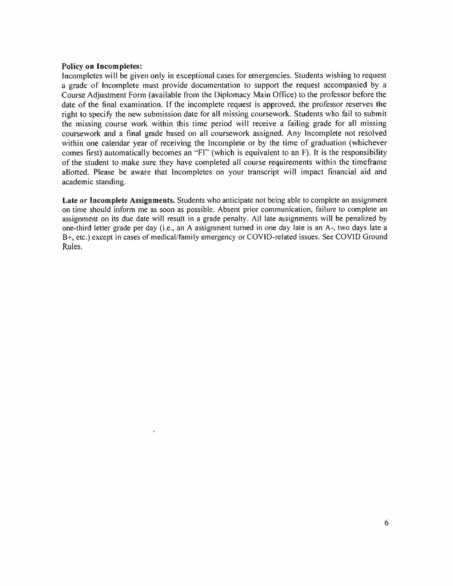#### **Policy on Incompletes:**

Incompletes will be given only in exceptional cases for emergencies. Students wishing to reques<sup>t</sup> <sup>a</sup> grade of Incomplete must provide documentation to suppor<sup>t</sup> the reques<sup>t</sup> accompanied by <sup>a</sup> Course Adjustment Form (available from the Diplomacy Main Office) to the professor before the date of the final examination. If the incomplete reques<sup>t</sup> is approved, the professor reserves the right to specify the new submission date for all missing coursework. Students who fail to submit the missing course work within this time period will receive <sup>a</sup> failing grade for all missing coursework and <sup>a</sup> final grade based on all coursework assigned. Any Incomplete not resolved within one calendar year of receiving the Incomplete or by the time of graduation (whichever comes first) automatically becomes an "FI" (which is equivalent to an F). It is the responsibility of the student to make sure they have completed all course requirements within the timeframe allotted. Please be aware that Incompletes on your transcript will impact financial aid and academic standing.

**Late or Incomplete Assignments.** Students who anticipate not being able to complete an assignment on time should inform me as soon as possible. Absent prior communication, failure to complete an assignment on its due date will result in <sup>a</sup> grade penalty. All late assignments will be penalized by one-third letter grade per day (i.e., an <sup>A</sup> assignment turned in one day late is an A-, two days late <sup>a</sup> B+, etc.) except in cases of medical/family emergency or COVID-related issues. See COVID Ground Rules.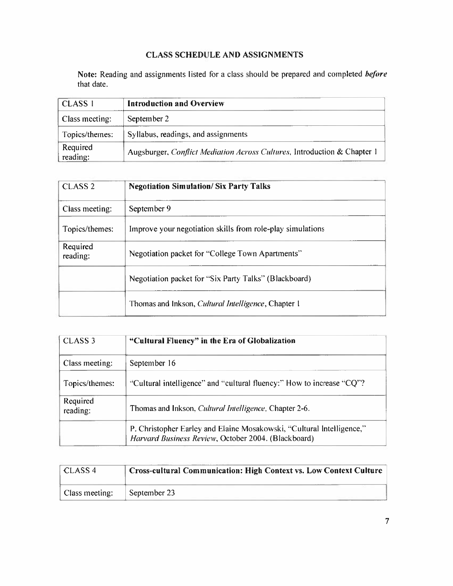## **CLASS SCHEDULE AND ASSIGNMENTS**

**Note:** Reading and assignments listed for <sup>a</sup> class should be prepared and completed *before* that date.

| <b>CLASS 1</b>       | <b>Introduction and Overview</b>                                         |
|----------------------|--------------------------------------------------------------------------|
| Class meeting:       | September 2                                                              |
| Topics/themes:       | Syllabus, readings, and assignments                                      |
| Required<br>reading: | Augsburger, Conflict Mediation Across Cultures, Introduction & Chapter 1 |

| CLASS <sub>2</sub>   | <b>Negotiation Simulation/Six Party Talks</b>               |
|----------------------|-------------------------------------------------------------|
| Class meeting:       | September 9                                                 |
| Topics/themes:       | Improve your negotiation skills from role-play simulations  |
| Required<br>reading: | Negotiation packet for "College Town Apartments"            |
|                      | Negotiation packet for "Six Party Talks" (Blackboard)       |
|                      | Thomas and Inkson, <i>Cultural Intelligence</i> , Chapter 1 |

| CLASS <sub>3</sub>   | "Cultural Fluency" in the Era of Globalization                                                                               |
|----------------------|------------------------------------------------------------------------------------------------------------------------------|
| Class meeting:       | September 16                                                                                                                 |
| Topics/themes:       | "Cultural intelligence" and "cultural fluency:" How to increase "CQ"?                                                        |
| Required<br>reading: | Thomas and Inkson, <i>Cultural Intelligence</i> , Chapter 2-6.                                                               |
|                      | P. Christopher Earley and Elaine Mosakowski, "Cultural Intelligence,"<br>Harvard Business Review, October 2004. (Blackboard) |

| CLASS 4        | Cross-cultural Communication: High Context vs. Low Context Culture |
|----------------|--------------------------------------------------------------------|
| Class meeting: | September 23                                                       |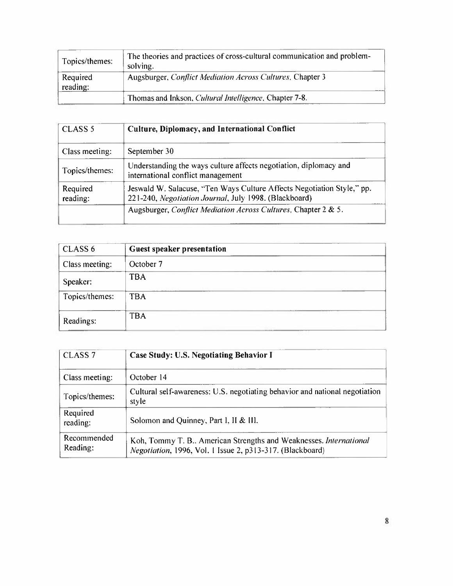| Topics/themes:       | The theories and practices of cross-cultural communication and problem-<br>solving. |
|----------------------|-------------------------------------------------------------------------------------|
| Required<br>reading: | Augsburger, <i>Conflict Mediation Across Cultures</i> , Chapter 3                   |
|                      | Thomas and Inkson, <i>Cultural Intelligence</i> . Chapter 7-8.                      |

| CLASS <sub>5</sub>   | Culture, Diplomacy, and International Conflict                                                                                  |
|----------------------|---------------------------------------------------------------------------------------------------------------------------------|
| Class meeting:       | September 30                                                                                                                    |
| Topics/themes:       | Understanding the ways culture affects negotiation, diplomacy and<br>international conflict management                          |
| Required<br>reading: | Jeswald W. Salacuse, "Ten Ways Culture Affects Negotiation Style," pp.<br>221-240, Negotiation Journal, July 1998. (Blackboard) |
|                      | Augsburger, Conflict Mediation Across Cultures, Chapter 2 & 5.                                                                  |

| CLASS 6        | Guest speaker presentation |
|----------------|----------------------------|
| Class meeting: | October 7                  |
| Speaker:       | <b>TBA</b>                 |
| Topics/themes: | <b>TBA</b>                 |
| Readings:      | <b>TBA</b>                 |

| CLASS <sub>7</sub>      | Case Study: U.S. Negotiating Behavior I                                                                                       |
|-------------------------|-------------------------------------------------------------------------------------------------------------------------------|
| Class meeting:          | October 14                                                                                                                    |
| Topics/themes:          | Cultural self-awareness: U.S. negotiating behavior and national negotiation<br>style                                          |
| Required<br>reading:    | Solomon and Quinney, Part I, II & III.                                                                                        |
| Recommended<br>Reading: | Koh, Tommy T. B American Strengths and Weaknesses. International<br>Negotiation, 1996, Vol. 1 Issue 2, p313-317. (Blackboard) |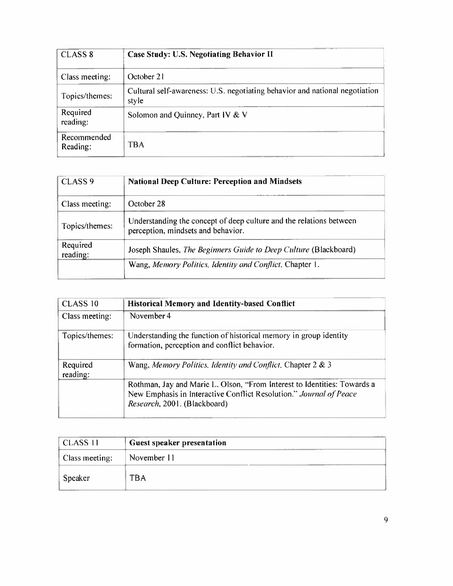| CLASS <sub>8</sub>      | <b>Case Study: U.S. Negotiating Behavior II</b>                                      |
|-------------------------|--------------------------------------------------------------------------------------|
| Class meeting:          | October 21                                                                           |
| Topics/themes:          | Cultural self-awareness: U.S. negotiating behavior and national negotiation<br>style |
| Required<br>reading:    | Solomon and Quinney, Part IV & V                                                     |
| Recommended<br>Reading: | TBA                                                                                  |

| CLASS <sub>9</sub>   | <b>National Deep Culture: Perception and Mindsets</b>                                                     |
|----------------------|-----------------------------------------------------------------------------------------------------------|
| Class meeting:       | October 28                                                                                                |
| Topics/themes:       | Understanding the concept of deep culture and the relations between<br>perception, mindsets and behavior. |
| Required<br>reading: | Joseph Shaules, The Beginners Guide to Deep Culture (Blackboard)                                          |
|                      | Wang, Memory Politics, Identity and Conflict, Chapter 1.                                                  |

| CLASS 10             | <b>Historical Memory and Identity-based Conflict</b>                                                                                                                           |
|----------------------|--------------------------------------------------------------------------------------------------------------------------------------------------------------------------------|
| Class meeting:       | November 4                                                                                                                                                                     |
| Topics/themes:       | Understanding the function of historical memory in group identity<br>formation, perception and conflict behavior.                                                              |
| Required<br>reading: | Wang, Memory Politics, Identity and Conflict, Chapter 2 & 3                                                                                                                    |
|                      | Rothman, Jay and Marie L. Olson, "From Interest to Identities: Towards a<br>New Emphasis in Interactive Conflict Resolution." Journal of Peace<br>Research, 2001. (Blackboard) |

| <b>CLASS 11</b> | Guest speaker presentation |  |
|-----------------|----------------------------|--|
| Class meeting:  | November 11                |  |
| Speaker         | <b>TBA</b>                 |  |